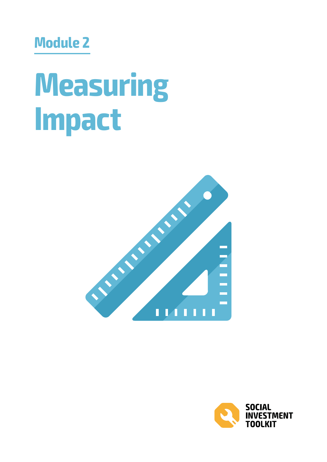# **Module 2**

# **Measuring Impact**



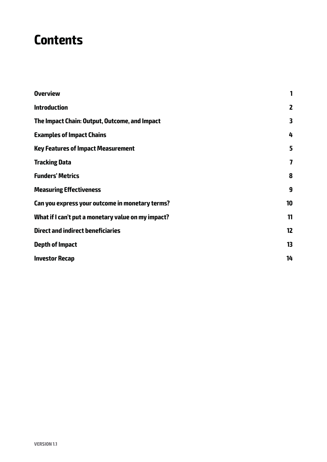### **Contents**

| <b>Overview</b>                                    | 1            |
|----------------------------------------------------|--------------|
| <b>Introduction</b>                                | $\mathbf{z}$ |
| The Impact Chain: Output, Outcome, and Impact      | 3            |
| <b>Examples of Impact Chains</b>                   | 4            |
| <b>Key Features of Impact Measurement</b>          | 5            |
| <b>Tracking Data</b>                               | 7            |
| <b>Funders' Metrics</b>                            | 8            |
| <b>Measuring Effectiveness</b>                     | 9            |
| Can you express your outcome in monetary terms?    | 10           |
| What if I can't put a monetary value on my impact? | 11           |
| <b>Direct and indirect beneficiaries</b>           | 12           |
| Depth of Impact                                    | 13           |
| <b>Investor Recap</b>                              | 14           |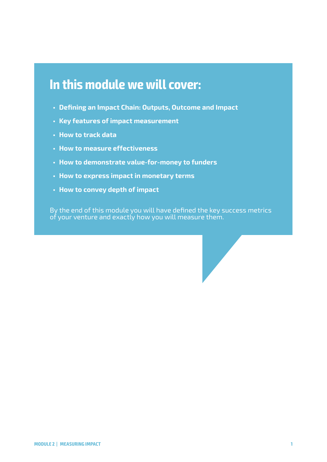### **In this module we will cover:**

- **• Defining an Impact Chain: Outputs, Outcome and Impact**
- **• Key features of impact measurement**
- **• How to track data**
- **• How to measure effectiveness**
- **• How to demonstrate value-for-money to funders**
- **• How to express impact in monetary terms**
- **• How to convey depth of impact**

By the end of this module you will have defined the key success metrics of your venture and exactly how you will measure them.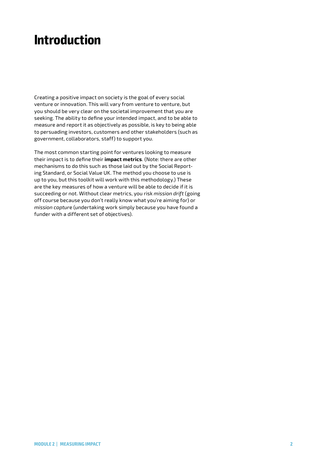### **Introduction**

Creating a positive impact on society is the goal of every social venture or innovation. This will vary from venture to venture, but you should be very clear on the societal improvement that you are seeking. The ability to define your intended impact, and to be able to measure and report it as objectively as possible, is key to being able to persuading investors, customers and other stakeholders (such as government, collaborators, staff) to support you.

The most common starting point for ventures looking to measure their impact is to define their **impact metrics**. (Note: there are other mechanisms to do this such as those laid out by the Social Reporting Standard, or Social Value UK. The method you choose to use is up to you, but this toolkit will work with this methodology.) These are the key measures of how a venture will be able to decide if it is succeeding or not. Without clear metrics, you risk *mission drift* (going off course because you don't really know what you're aiming for) or *mission captur*e (undertaking work simply because you have found a funder with a different set of objectives).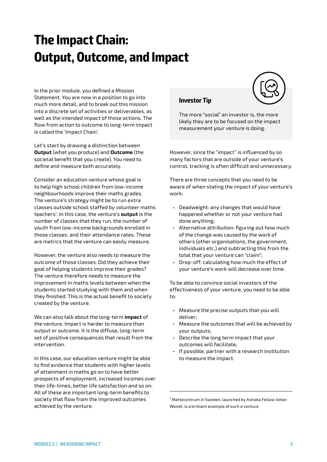# **The Impact Chain: Output, Outcome, and Impact**

In the prior module, you defined a Mission Statement. You are now in a position to go into much more detail, and to break out this mission into a discrete set of activities or deliverables, as well as the intended impact of those actions. The flow from action to outcome to long-term impact is called the 'Impact Chain'.

Let's start by drawing a distinction between **Output** (what you produce) and **Outcome** (the societal benefit that you create). You need to define and measure both accurately.

Consider an education venture whose goal is to help high school children from low-income neighbourhoods improve their maths grades. The venture's strategy might be to run extra classes outside school staffed by volunteer maths teachers<sup>1</sup> . In this case, the venture's **output** is the number of classes that they run, the number of youth from low-income backgrounds enrolled in those classes, and their attendance rates. These are metrics that the venture can easily measure.

However, the venture also needs to measure the outcome of those classes. Did they achieve their goal of helping students improve their grades? The venture therefore needs to measure the improvement in maths levels between when the students started studying with them and when they finished. This is the actual benefit to society created by the venture.

We can also talk about the long-term **impact** of the venture. Impact is harder to measure than output or outcome. It is the diffuse, long-term set of positive consequences that result from the intervention.

In this case, our education venture might be able to find evidence that students with higher levels of attainment in maths go on to have better prospects of employment, increased incomes over their life-times, better life satisfaction and so on. All of these are important long-term benefits to society that flow from the improved outcomes achieved by the venture.

#### **Investor Tip**



The more "social" an investor is, the more likely they are to be focused on the impact measurement your venture is doing.

However, since the "impact" is influenced by so many factors that are outside of your venture's control, tracking is often difficult and unnecessary.

There are three concepts that you need to be aware of when stating the impact of your venture's work:

- Deadweight: any changes that would have happened whether or not your venture had done anything;
- Alternative attribution: figuring out how much of the change was caused by the work of others (other organisations, the government, individuals etc.) and subtracting this from the total that your venture can "claim";
- Drop-off: calculating how much the effect of your venture's work will decrease over time.

To be able to convince social investors of the effectiveness of your venture, you need to be able to:

- Measure the precise outputs that you will deliver;
- Measure the outcomes that will be achieved by your outputs;
- Describe the long term impact that your outcomes will facilitate;
- If possible, partner with a research institution to measure the impact.

1 Mattecentrum in Sweden, launched by Ashoka Fellow Johan Wendt, is a brilliant example of such a venture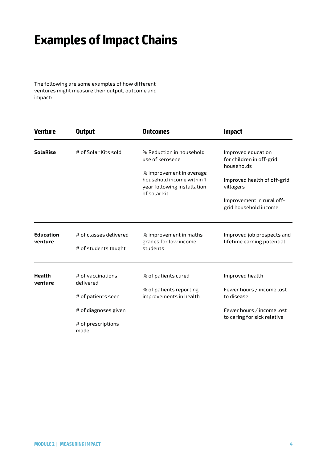## **Examples of Impact Chains**

The following are some examples of how different ventures might measure their output, outcome and impact:

| <b>Venture</b>              | <b>Output</b>                                  | <b>Outcomes</b>                                                                                      | <b>Impact</b>                                                |
|-----------------------------|------------------------------------------------|------------------------------------------------------------------------------------------------------|--------------------------------------------------------------|
| <b>SolaRise</b>             | # of Solar Kits sold                           | % Reduction in household<br>use of kerosene                                                          | Improved education<br>for children in off-grid<br>households |
|                             |                                                | % improvement in average<br>household income within 1<br>year following installation<br>of solar kit | Improved health of off-grid<br>villagers                     |
|                             |                                                |                                                                                                      | Improvement in rural off-<br>grid household income           |
| <b>Education</b><br>venture | # of classes delivered<br># of students taught | % improvement in maths<br>grades for low income<br>students                                          | Improved job prospects and<br>lifetime earning potential     |
|                             |                                                |                                                                                                      |                                                              |
| <b>Health</b><br>venture    | # of vaccinations<br>delivered                 | % of patients cured                                                                                  | Improved health                                              |
|                             | # of patients seen                             | % of patients reporting<br>improvements in health                                                    | Fewer hours / income lost<br>to disease                      |
|                             | # of diagnoses given                           |                                                                                                      | Fewer hours / income lost<br>to caring for sick relative     |
|                             | # of prescriptions<br>made                     |                                                                                                      |                                                              |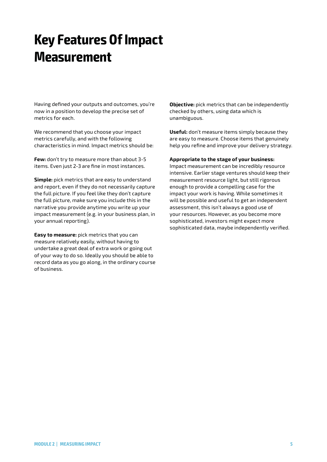# **Key Features Of Impact Measurement**

Having defined your outputs and outcomes, you're now in a position to develop the precise set of metrics for each.

We recommend that you choose your impact metrics carefully, and with the following characteristics in mind. Impact metrics should be:

**Few:** don't try to measure more than about 3-5 items. Even just 2-3 are fine in most instances.

**Simple:** pick metrics that are easy to understand and report, even if they do not necessarily capture the full picture. If you feel like they don't capture the full picture, make sure you include this in the narrative you provide anytime you write up your impact measurement (e.g. in your business plan, in your annual reporting).

**Easy to measure:** pick metrics that you can measure relatively easily, without having to undertake a great deal of extra work or going out of your way to do so. Ideally you should be able to record data as you go along, in the ordinary course of business.

**Objective:** pick metrics that can be independently checked by others, using data which is unambiguous.

**Useful:** don't measure items simply because they are easy to measure. Choose items that genuinely help you refine and improve your delivery strategy.

**Appropriate to the stage of your business:** 

Impact measurement can be incredibly resource intensive. Earlier stage ventures should keep their measurement resource light, but still rigorous enough to provide a compelling case for the impact your work is having. While sometimes it will be possible and useful to get an independent assessment, this isn't always a good use of your resources. However, as you become more sophisticated, investors might expect more sophisticated data, maybe independently verified.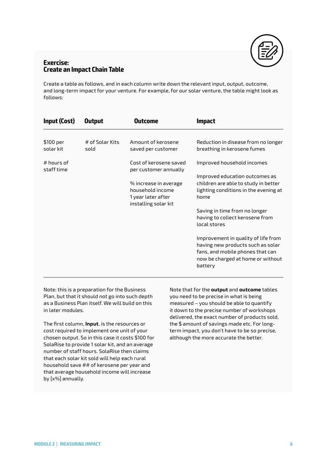

#### **Exercise: Create an Impact Chain Table**

Create a table as follows, and in each column write down the relevant input, output, outcome, and long-term impact for your venture. For example, for our solar venture, the table might look as follows:

| <b>Input (Cost)</b>        | <b>Output</b>           | Outcome                                                                                 | <b>Impact</b>                                                                                                                                                |
|----------------------------|-------------------------|-----------------------------------------------------------------------------------------|--------------------------------------------------------------------------------------------------------------------------------------------------------------|
| \$100 per<br>solar kit     | # of Solar Kits<br>sold | Amount of kerosene<br>saved per customer                                                | Reduction in disease from no longer<br>breathing in kerosene fumes                                                                                           |
| $#$ hours of<br>staff time |                         | Cost of kerosene saved<br>per customer annually                                         | Improved household incomes                                                                                                                                   |
|                            |                         | % increase in average<br>household income<br>1 year later after<br>installing solar kit | Improved education outcomes as<br>children are able to study in better<br>lighting conditions in the evening at<br>home                                      |
|                            |                         |                                                                                         | Saving in time from no longer<br>having to collect kerosene from<br>local stores                                                                             |
|                            |                         |                                                                                         | Improvement in quality of life from<br>having new products such as solar<br>fans, and mobile phones that can<br>now be charged at home or without<br>battery |

Note: this is a preparation for the Business Plan, but that it should not go into such depth as a Business Plan itself. We will build on this in later modules.

The first column, **Input**, is the resources or cost required to implement one unit of your chosen output. So in this case it costs \$100 for SolaRise to provide 1 solar kit, and an average number of staff hours. SolaRise then claims that each solar kit sold will help each rural household save ## of kerosene per year and that average household income will increase by [x%] annually.

Note that for the **output** and **outcome** tables you need to be precise in what is being measured – you should be able to quantify it down to the precise number of workshops delivered, the exact number of products sold, the \$ amount of savings made etc. For longterm impact, you don't have to be so precise, although the more accurate the better.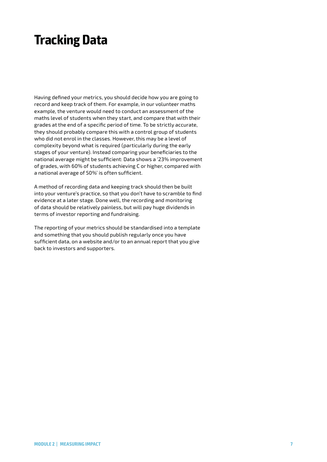### **Tracking Data**

Having defined your metrics, you should decide how you are going to record and keep track of them. For example, in our volunteer maths example, the venture would need to conduct an assessment of the maths level of students when they start, and compare that with their grades at the end of a specific period of time. To be strictly accurate, they should probably compare this with a control group of students who did not enrol in the classes. However, this may be a level of complexity beyond what is required (particularly during the early stages of your venture). Instead comparing your beneficiaries to the national average might be sufficient: Data shows a '23% improvement of grades, with 60% of students achieving C or higher, compared with a national average of 50%' is often sufficient.

A method of recording data and keeping track should then be built into your venture's practice, so that you don't have to scramble to find evidence at a later stage. Done well, the recording and monitoring of data should be relatively painless, but will pay huge dividends in terms of investor reporting and fundraising.

The reporting of your metrics should be standardised into a template and something that you should publish regularly once you have sufficient data, on a website and/or to an annual report that you give back to investors and supporters.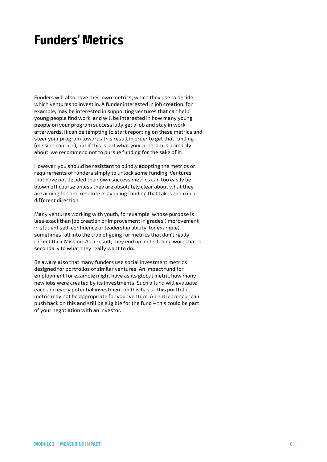### **Funders' Metrics**

Funders will also have their own metrics, which they use to decide which ventures to invest in. A funder interested in job creation, for example, may be interested in supporting ventures that can help young people find work, and will be interested in how many young people on your program successfully get a job and stay in work afterwards. It can be tempting to start reporting on these metrics and steer your program towards this result in order to get that funding (mission capture), but if this is not what your program is primarily about, we recommend not to pursue funding for the sake of it.

However, you should be resistant to blindly adopting the metrics or requirements of funders simply to unlock some funding. Ventures that have not decided their own success metrics can too easily be blown off course unless they are absolutely clear about what they are aiming for, and resolute in avoiding funding that takes them in a different direction.

Many ventures working with youth, for example, whose purpose is less exact than job creation or improvement in grades (improvement in student self-confidence or leadership ability, for example) sometimes fall into the trap of going for metrics that don't really reflect their Mission. As a result, they end up undertaking work that is secondary to what they really want to do.

Be aware also that many funders use social investment metrics designed for portfolios of similar ventures. An impact fund for employment for example might have as its global metric how many new jobs were created by its investments. Such a fund will evaluate each and every potential investment on this basis. This portfolio metric may not be appropriate for your venture. An entrepreneur can push back on this and still be eligible for the fund – this could be part of your negotiation with an investor.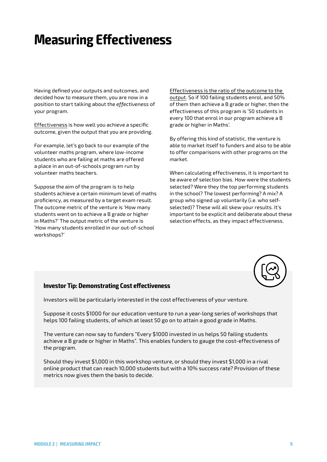# **Measuring Effectiveness**

Having defined your outputs and outcomes, and decided how to measure them, you are now in a position to start talking about the *effectiveness* of your program.

Effectiveness is how well you achieve a specific outcome, given the output that you are providing.

For example, let's go back to our example of the volunteer maths program, where low-income students who are failing at maths are offered a place in an out-of-schools program run by volunteer maths teachers.

Suppose the aim of the program is to help students achieve a certain minimum level of maths proficiency, as measured by a target exam result. The outcome metric of the venture is 'How many students went on to achieve a B grade or higher in Maths?' The output metric of the venture is 'How many students enrolled in our out-of-school workshops?'

Effectiveness is the ratio of the outcome to the output. So if 100 failing students enrol, and 50% of them then achieve a B grade or higher, then the effectiveness of this program is '50 students in every 100 that enrol in our program achieve a B grade or higher in Maths'.

By offering this kind of statistic, the venture is able to market itself to funders and also to be able to offer comparisons with other programs on the market.

When calculating effectiveness, it is important to be aware of selection bias. How were the students selected? Were they the top performing students in the school? The lowest performing? A mix? A group who signed up voluntarily (i.e. who selfselected)? These will all skew your results. It's important to be explicit and deliberate about these selection effects, as they impact effectiveness.



#### **Investor Tip: Demonstrating Cost effectiveness**

Investors will be particularly interested in the cost effectiveness of your venture.

Suppose it costs \$1000 for our education venture to run a year-long series of workshops that helps 100 failing students, of which at least 50 go on to attain a good grade in Maths.

The venture can now say to funders "Every \$1000 invested in us helps 50 failing students achieve a B grade or higher in Maths". This enables funders to gauge the cost-effectiveness of the program.

Should they invest \$1,000 in this workshop venture, or should they invest \$1,000 in a rival online product that can reach 10,000 students but with a 10% success rate? Provision of these metrics now gives them the basis to decide.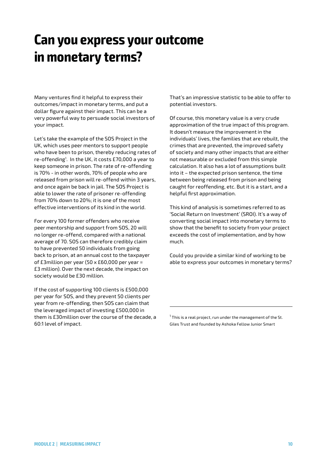# **Can you express your outcome in monetary terms?**

Many ventures find it helpful to express their outcomes/impact in monetary terms, and put a dollar figure against their impact. This can be a very powerful way to persuade social investors of your impact.

Let's take the example of the SOS Project in the UK, which uses peer mentors to support people who have been to prison, thereby reducing rates of re-offending<sup>1</sup>. In the UK, it costs £70,000 a year to keep someone in prison. The rate of re-offending is 70% - in other words, 70% of people who are released from prison will re-offend within 3 years, and once again be back in jail. The SOS Project is able to lower the rate of prisoner re-offending from 70% down to 20%; it is one of the most effective interventions of its kind in the world.

For every 100 former offenders who receive peer mentorship and support from SOS, 20 will no longer re-offend, compared with a national average of 70. SOS can therefore credibly claim to have prevented 50 individuals from going back to prison, at an annual cost to the taxpayer of £3million per year (50 x £60,000 per year = £3 million). Over the next decade, the impact on society would be £30 million.

If the cost of supporting 100 clients is £500,000 per year for SOS, and they prevent 50 clients per year from re-offending, then SOS can claim that the leveraged impact of investing £500,000 in them is £30million over the course of the decade, a 60:1 level of impact.

That's an impressive statistic to be able to offer to potential investors.

Of course, this monetary value is a very crude approximation of the true impact of this program. It doesn't measure the improvement in the individuals' lives, the families that are rebuilt, the crimes that are prevented, the improved safety of society and many other impacts that are either not measurable or excluded from this simple calculation. It also has a lot of assumptions built into it – the expected prison sentence, the time between being released from prison and being caught for reoffending, etc. But it is a start, and a helpful first approximation.

This kind of analysis is sometimes referred to as 'Social Return on Investment' (SROI). It's a way of converting social impact into monetary terms to show that the benefit to society from your project exceeds the cost of implementation, and by how much.

Could you provide a similar kind of working to be able to express your outcomes in monetary terms?

 $1$  This is a real project, run under the management of the St. Giles Trust and founded by Ashoka Fellow Junior Smart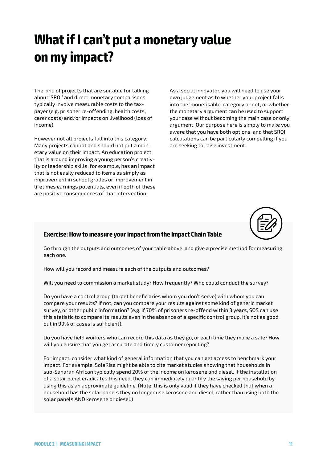# **What if I can't put a monetary value on my impact?**

The kind of projects that are suitable for talking about 'SROI' and direct monetary comparisons typically involve measurable costs to the taxpayer (e.g. prisoner re-offending, health costs, carer costs) and/or impacts on livelihood (loss of income).

However not all projects fall into this category. Many projects cannot and should not put a monetary value on their impact. An education project that is around improving a young person's creativity or leadership skills, for example, has an impact that is not easily reduced to items as simply as improvement in school grades or improvement in lifetimes earnings potentials, even if both of these are positive consequences of that intervention.

As a social innovator, you will need to use your own judgement as to whether your project falls into the 'monetisable' category or not, or whether the monetary argument can be used to support your case without becoming the main case or only argument. Our purpose here is simply to make you aware that you have both options, and that SROI calculations can be particularly compelling if you are seeking to raise investment.



#### **Exercise: How to measure your impact from the Impact Chain Table**

Go through the outputs and outcomes of your table above, and give a precise method for measuring each one.

How will you record and measure each of the outputs and outcomes?

Will you need to commission a market study? How frequently? Who could conduct the survey?

Do you have a control group (target beneficiaries whom you don't serve) with whom you can compare your results? If not, can you compare your results against some kind of generic market survey, or other public information? (e.g. if 70% of prisoners re-offend within 3 years, SOS can use this statistic to compare its results even in the absence of a specific control group. It's not as good, but in 99% of cases is sufficient).

Do you have field workers who can record this data as they go, or each time they make a sale? How will you ensure that you get accurate and timely customer reporting?

For impact, consider what kind of general information that you can get access to benchmark your impact. For example, SolaRise might be able to cite market studies showing that households in sub-Saharan African typically spend 20% of the income on kerosene and diesel. If the installation of a solar panel eradicates this need, they can immediately quantify the saving per household by using this as an approximate guideline. (Note: this is only valid if they have checked that when a household has the solar panels they no longer use kerosene and diesel, rather than using both the solar panels AND kerosene or diesel.)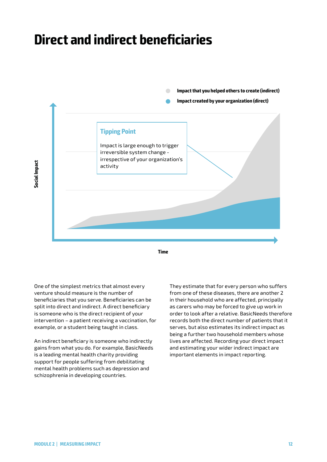### **Direct and indirect beneficiaries**



**Time**

One of the simplest metrics that almost every venture should measure is the number of beneficiaries that you serve. Beneficiaries can be split into direct and indirect. A direct beneficiary is someone who is the direct recipient of your intervention – a patient receiving a vaccination, for example, or a student being taught in class.

An indirect beneficiary is someone who indirectly gains from what you do. For example, BasicNeeds is a leading mental health charity providing support for people suffering from debilitating mental health problems such as depression and schizophrenia in developing countries.

They estimate that for every person who suffers from one of these diseases, there are another 2 in their household who are affected, principally as carers who may be forced to give up work in order to look after a relative. BasicNeeds therefore records both the direct number of patients that it serves, but also estimates its indirect impact as being a further two household members whose lives are affected. Recording your direct impact and estimating your wider indirect impact are important elements in impact reporting.

**Social Impact**

ocial Impact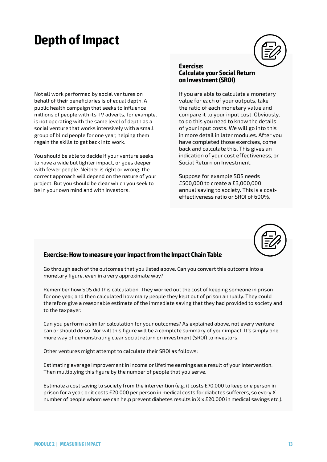### **Depth of Impact**



Not all work performed by social ventures on behalf of their beneficiaries is of equal depth. A public health campaign that seeks to influence millions of people with its TV adverts, for example, is not operating with the same level of depth as a social venture that works intensively with a small group of blind people for one year, helping them regain the skills to get back into work.

You should be able to decide if your venture seeks to have a wide but lighter impact, or goes deeper with fewer people. Neither is right or wrong; the correct approach will depend on the nature of your project. But you should be clear which you seek to be in your own mind and with investors.

#### **Exercise: Calculate your Social Return on Investment (SROI)**

If you are able to calculate a monetary value for each of your outputs, take the ratio of each monetary value and compare it to your input cost. Obviously, to do this you need to know the details of your input costs. We will go into this in more detail in later modules. After you have completed those exercises, come back and calculate this. This gives an indication of your cost effectiveness, or Social Return on Investment.

Suppose for example SOS needs £500,000 to create a £3,000,000 annual saving to society. This is a costeffectiveness ratio or SROI of 600%.



#### **Exercise: How to measure your impact from the Impact Chain Table**

Go through each of the outcomes that you listed above. Can you convert this outcome into a monetary figure, even in a very approximate way?

Remember how SOS did this calculation. They worked out the cost of keeping someone in prison for one year, and then calculated how many people they kept out of prison annually. They could therefore give a reasonable estimate of the immediate saving that they had provided to society and to the taxpayer.

Can you perform a similar calculation for your outcomes? As explained above, not every venture can or should do so. Nor will this figure will be a complete summary of your impact. It's simply one more way of demonstrating clear social return on investment (SROI) to investors.

Other ventures might attempt to calculate their SROI as follows:

Estimating average improvement in income or lifetime earnings as a result of your intervention. Then multiplying this figure by the number of people that you serve.

Estimate a cost saving to society from the intervention (e.g. it costs £70,000 to keep one person in prison for a year, or it costs £20,000 per person in medical costs for diabetes sufferers, so every X number of people whom we can help prevent diabetes results in  $X \times E20,000$  in medical savings etc.).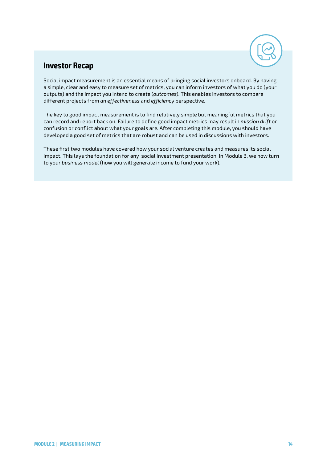

#### **Investor Recap**

Social impact measurement is an essential means of bringing social investors onboard. By having a simple, clear and easy to measure set of metrics, you can inform investors of what you do (your outputs) and the impact you intend to create (*outcomes*). This enables investors to compare different projects from an *effectiveness* and *efficiency* perspective.

The key to good impact measurement is to find relatively simple but meaningful metrics that you can record and report back on. Failure to define good impact metrics may result in *mission drift* or confusion or conflict about what your goals are. After completing this module, you should have developed a good set of metrics that are robust and can be used in discussions with investors.

These first two modules have covered how your social venture creates and measures its social impact. This lays the foundation for any social investment presentation. In Module 3, we now turn to your *business model* (how you will generate income to fund your work).